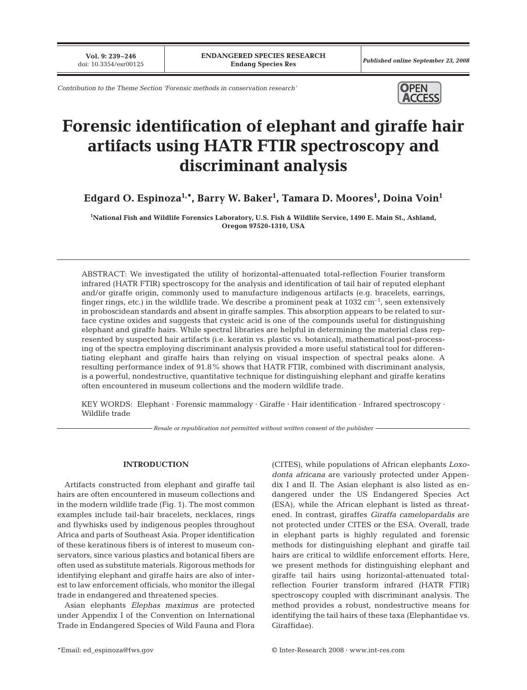**Vol. 9: 239–246**<br>doi: 10.3354/esr00125

*Contribution to the Theme Section 'Forensic methods in conservation research'*



# **Forensic identification of elephant and giraffe hair artifacts using HATR FTIR spectroscopy and discriminant analysis**

**Edgard O. Espinoza1,\*, Barry W. Baker1 , Tamara D. Moores1 , Doina Voin1**

**1 National Fish and Wildlife Forensics Laboratory, U.S. Fish & Wildlife Service, 1490 E. Main St., Ashland, Oregon 97520-1310, USA**

ABSTRACT: We investigated the utility of horizontal-attenuated total-reflection Fourier transform infrared (HATR FTIR) spectroscopy for the analysis and identification of tail hair of reputed elephant and/or giraffe origin, commonly used to manufacture indigenous artifacts (e.g. bracelets, earrings, finger rings, etc.) in the wildlife trade. We describe a prominent peak at  $1032 \text{ cm}^{-1}$ , seen extensively in proboscidean standards and absent in giraffe samples. This absorption appears to be related to surface cystine oxides and suggests that cysteic acid is one of the compounds useful for distinguishing elephant and giraffe hairs. While spectral libraries are helpful in determining the material class represented by suspected hair artifacts (i.e. keratin vs. plastic vs. botanical), mathematical post-processing of the spectra employing discriminant analysis provided a more useful statistical tool for differentiating elephant and giraffe hairs than relying on visual inspection of spectral peaks alone. A resulting performance index of 91.8% shows that HATR FTIR, combined with discriminant analysis, is a powerful, nondestructive, quantitative technique for distinguishing elephant and giraffe keratins often encountered in museum collections and the modern wildlife trade.

KEY WORDS: Elephant · Forensic mammalogy · Giraffe · Hair identification · Infrared spectroscopy · Wildlife trade

*Resale or republication not permitted without written consent of the publisher*

## **INTRODUCTION**

Artifacts constructed from elephant and giraffe tail hairs are often encountered in museum collections and in the modern wildlife trade (Fig. 1). The most common examples include tail-hair bracelets, necklaces, rings and flywhisks used by indigenous peoples throughout Africa and parts of Southeast Asia. Proper identification of these keratinous fibers is of interest to museum conservators, since various plastics and botanical fibers are often used as substitute materials. Rigorous methods for identifying elephant and giraffe hairs are also of interest to law enforcement officials, who monitor the illegal trade in endangered and threatened species.

Asian elephants *Elephas maximus* are protected under Appendix I of the Convention on International Trade in Endangered Species of Wild Fauna and Flora

(CITES), while populations of African elephants *Loxodonta africana* are variously protected under Appendix I and II. The Asian elephant is also listed as endangered under the US Endangered Species Act (ESA), while the African elephant is listed as threatened. In contrast, giraffes *Giraffa camelopardalis* are not protected under CITES or the ESA. Overall, trade in elephant parts is highly regulated and forensic methods for distinguishing elephant and giraffe tail hairs are critical to wildlife enforcement efforts. Here, we present methods for distinguishing elephant and giraffe tail hairs using horizontal-attenuated totalreflection Fourier transform infrared (HATR FTIR) spectroscopy coupled with discriminant analysis. The method provides a robust, nondestructive means for identifying the tail hairs of these taxa (Elephantidae vs. Giraffidae).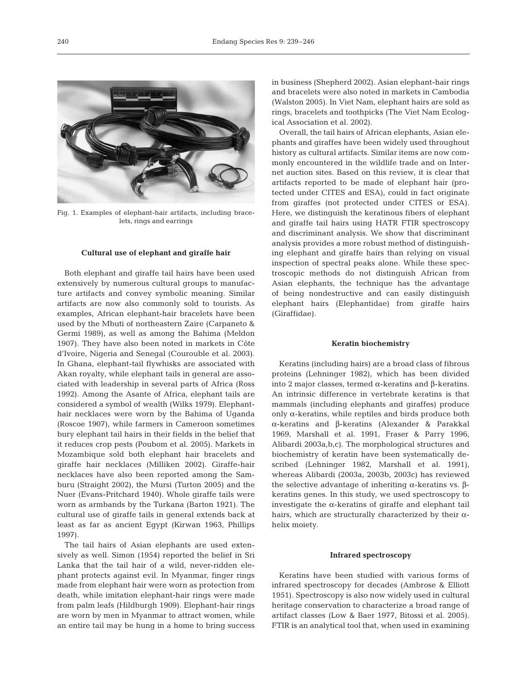

Fig. 1. Examples of elephant-hair artifacts, including bracelets, rings and earrings

## **Cultural use of elephant and giraffe hair**

Both elephant and giraffe tail hairs have been used extensively by numerous cultural groups to manufacture artifacts and convey symbolic meaning. Similar artifacts are now also commonly sold to tourists. As examples, African elephant-hair bracelets have been used by the Mbuti of northeastern Zaire (Carpaneto & Germi 1989), as well as among the Bahima (Meldon 1907). They have also been noted in markets in Côte d'Ivoire, Nigeria and Senegal (Courouble et al. 2003). In Ghana, elephant-tail flywhisks are associated with Akan royalty, while elephant tails in general are associated with leadership in several parts of Africa (Ross 1992). Among the Asante of Africa, elephant tails are considered a symbol of wealth (Wilks 1979). Elephanthair necklaces were worn by the Bahima of Uganda (Roscoe 1907), while farmers in Cameroon sometimes bury elephant tail hairs in their fields in the belief that it reduces crop pests (Poubom et al. 2005). Markets in Mozambique sold both elephant hair bracelets and giraffe hair necklaces (Milliken 2002). Giraffe-hair necklaces have also been reported among the Samburu (Straight 2002), the Mursi (Turton 2005) and the Nuer (Evans-Pritchard 1940). Whole giraffe tails were worn as armbands by the Turkana (Barton 1921). The cultural use of giraffe tails in general extends back at least as far as ancient Egypt (Kirwan 1963, Phillips 1997).

The tail hairs of Asian elephants are used extensively as well. Simon (1954) reported the belief in Sri Lanka that the tail hair of a wild, never-ridden elephant protects against evil. In Myanmar, finger rings made from elephant hair were worn as protection from death, while imitation elephant-hair rings were made from palm leafs (Hildburgh 1909). Elephant-hair rings are worn by men in Myanmar to attract women, while an entire tail may be hung in a home to bring success in business (Shepherd 2002). Asian elephant-hair rings and bracelets were also noted in markets in Cambodia (Walston 2005). In Viet Nam, elephant hairs are sold as rings, bracelets and toothpicks (The Viet Nam Ecological Association et al. 2002).

Overall, the tail hairs of African elephants, Asian elephants and giraffes have been widely used throughout history as cultural artifacts. Similar items are now commonly encountered in the wildlife trade and on Internet auction sites. Based on this review, it is clear that artifacts reported to be made of elephant hair (protected under CITES and ESA), could in fact originate from giraffes (not protected under CITES or ESA). Here, we distinguish the keratinous fibers of elephant and giraffe tail hairs using HATR FTIR spectroscopy and discriminant analysis. We show that discriminant analysis provides a more robust method of distinguishing elephant and giraffe hairs than relying on visual inspection of spectral peaks alone. While these spectroscopic methods do not distinguish African from Asian elephants, the technique has the advantage of being nondestructive and can easily distinguish elephant hairs (Elephantidae) from giraffe hairs (Giraffidae).

#### **Keratin biochemistry**

Keratins (including hairs) are a broad class of fibrous proteins (Lehninger 1982), which has been divided into 2 major classes, termed α-keratins and β-keratins. An intrinsic difference in vertebrate keratins is that mammals (including elephants and giraffes) produce only α-keratins, while reptiles and birds produce both α-keratins and β-keratins (Alexander & Parakkal 1969, Marshall et al. 1991, Fraser & Parry 1996, Alibardi 2003a,b,c). The morphological structures and biochemistry of keratin have been systematically described (Lehninger 1982, Marshall et al. 1991), whereas Alibardi (2003a, 2003b, 2003c) has reviewed the selective advantage of inheriting α-keratins vs. βkeratins genes. In this study, we used spectroscopy to investigate the α-keratins of giraffe and elephant tail hairs, which are structurally characterized by their  $\alpha$ helix moiety.

## **Infrared spectroscopy**

Keratins have been studied with various forms of infrared spectroscopy for decades (Ambrose & Elliott 1951). Spectroscopy is also now widely used in cultural heritage conservation to characterize a broad range of artifact classes (Low & Baer 1977, Bitossi et al. 2005). FTIR is an analytical tool that, when used in examining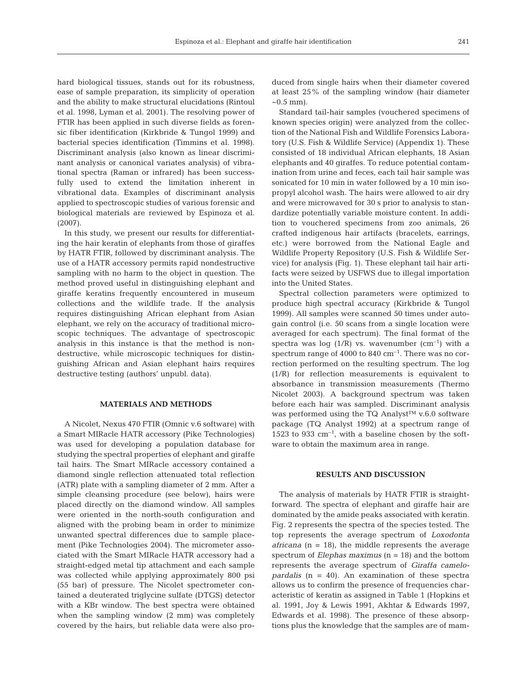hard biological tissues, stands out for its robustness, ease of sample preparation, its simplicity of operation and the ability to make structural elucidations (Rintoul et al. 1998, Lyman et al. 2001). The resolving power of FTIR has been applied in such diverse fields as forensic fiber identification (Kirkbride & Tungol 1999) and bacterial species identification (Timmins et al. 1998). Discriminant analysis (also known as linear discriminant analysis or canonical variates analysis) of vibrational spectra (Raman or infrared) has been successfully used to extend the limitation inherent in vibrational data. Examples of discriminant analysis applied to spectroscopic studies of various forensic and biological materials are reviewed by Espinoza et al. (2007).

In this study, we present our results for differentiating the hair keratin of elephants from those of giraffes by HATR FTIR, followed by discriminant analysis. The use of a HATR accessory permits rapid nondestructive sampling with no harm to the object in question. The method proved useful in distinguishing elephant and giraffe keratins frequently encountered in museum collections and the wildlife trade. If the analysis requires distinguishing African elephant from Asian elephant, we rely on the accuracy of traditional microscopic techniques. The advantage of spectroscopic analysis in this instance is that the method is nondestructive, while microscopic techniques for distinguishing African and Asian elephant hairs requires destructive testing (authors' unpubl. data).

# **MATERIALS AND METHODS**

A Nicolet, Nexus 470 FTIR (Omnic v.6 software) with a Smart MIRacle HATR accessory (Pike Technologies) was used for developing a population database for studying the spectral properties of elephant and giraffe tail hairs. The Smart MIRacle accessory contained a diamond single reflection attenuated total reflection (ATR) plate with a sampling diameter of 2 mm. After a simple cleansing procedure (see below), hairs were placed directly on the diamond window. All samples were oriented in the north-south configuration and aligned with the probing beam in order to minimize unwanted spectral differences due to sample placement (Pike Technologies 2004). The micrometer associated with the Smart MIRacle HATR accessory had a straight-edged metal tip attachment and each sample was collected while applying approximately 800 psi (55 bar) of pressure. The Nicolet spectrometer contained a deuterated triglycine sulfate (DTGS) detector with a KBr window. The best spectra were obtained when the sampling window (2 mm) was completely covered by the hairs, but reliable data were also produced from single hairs when their diameter covered at least 25% of the sampling window (hair diameter  $~10.5$  mm).

Standard tail-hair samples (vouchered specimens of known species origin) were analyzed from the collection of the National Fish and Wildlife Forensics Laboratory (U.S. Fish & Wildlife Service) (Appendix 1). These consisted of 18 individual African elephants, 18 Asian elephants and 40 giraffes. To reduce potential contamination from urine and feces, each tail hair sample was sonicated for 10 min in water followed by a 10 min isopropyl alcohol wash. The hairs were allowed to air dry and were microwaved for 30 s prior to analysis to standardize potentially variable moisture content. In addition to vouchered specimens from zoo animals, 26 crafted indigenous hair artifacts (bracelets, earrings, etc.) were borrowed from the National Eagle and Wildlife Property Repository (U.S. Fish & Wildlife Service) for analysis (Fig. 1). These elephant tail hair artifacts were seized by USFWS due to illegal importation into the United States.

Spectral collection parameters were optimized to produce high spectral accuracy (Kirkbride & Tungol 1999). All samples were scanned 50 times under autogain control (i.e. 50 scans from a single location were averaged for each spectrum). The final format of the spectra was log  $(1/R)$  vs. wavenumber  $(cm<sup>-1</sup>)$  with a spectrum range of  $4000$  to  $840 \text{ cm}^{-1}$ . There was no correction performed on the resulting spectrum. The log (1/R) for reflection measurements is equivalent to absorbance in transmission measurements (Thermo Nicolet 2003). A background spectrum was taken before each hair was sampled. Discriminant analysis was performed using the TQ Analyst™ v.6.0 software package (TQ Analyst 1992) at a spectrum range of 1523 to 933  $\text{cm}^{-1}$ , with a baseline chosen by the software to obtain the maximum area in range.

## **RESULTS AND DISCUSSION**

The analysis of materials by HATR FTIR is straightforward. The spectra of elephant and giraffe hair are dominated by the amide peaks associated with keratin. Fig. 2 represents the spectra of the species tested. The top represents the average spectrum of *Loxodonta africana* (n = 18), the middle represents the average spectrum of *Elephas maximus* (n = 18) and the bottom represents the average spectrum of *Giraffa camelopardalis* (n = 40). An examination of these spectra allows us to confirm the presence of frequencies characteristic of keratin as assigned in Table 1 (Hopkins et al. 1991, Joy & Lewis 1991, Akhtar & Edwards 1997, Edwards et al. 1998). The presence of these absorptions plus the knowledge that the samples are of mam-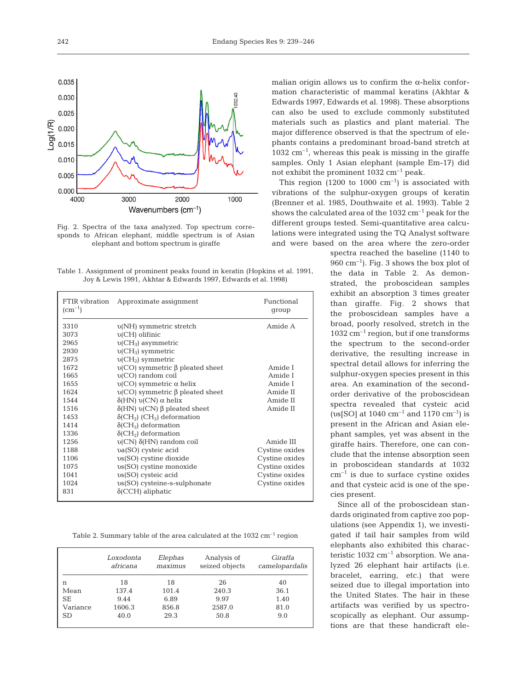

Fig. 2. Spectra of the taxa analyzed. Top spectrum corresponds to African elephant, middle spectrum is of Asian elephant and bottom spectrum is giraffe

Table 1. Assignment of prominent peaks found in keratin (Hopkins et al. 1991, Joy & Lewis 1991, Akhtar & Edwards 1997, Edwards et al. 1998)

| $\rm (cm^{-1})$ | FTIR vibration Approximate assignment                       | Functional<br>qroup |
|-----------------|-------------------------------------------------------------|---------------------|
| 3310            | $\nu(NH)$ symmetric stretch                                 | Amide A             |
| 3073            | $v(CH)$ olifinic                                            |                     |
| 2965            | $v(CH_3)$ asymmetric                                        |                     |
| 2930            | $v(CH_3)$ symmetric                                         |                     |
| 2875            | $v(CH2)$ symmetric                                          |                     |
| 1672            | $\nu(CO)$ symmetric $\beta$ pleated sheet                   | Amide I             |
| 1665            | $v(CO)$ random coil                                         | Amide I             |
| 1655            | $v(CO)$ symmetric $\alpha$ helix                            | Amide I             |
| 1624            | $v(CO)$ symmetric $\beta$ pleated sheet                     | Amide II            |
| 1544            | $\delta$ (HN) v(CN) α helix                                 | Amide II            |
| 1516            | $\delta$ (HN) v(CN) $\beta$ pleated sheet                   | Amide II            |
| 14.53           | $\delta$ (CH <sub>2</sub> ) (CH <sub>3</sub> ) deformation  |                     |
| 1414            | $\delta$ (CH <sub>3</sub> ) deformation                     |                     |
| 1336            | $\delta$ (CH <sub>2</sub> ) deformation                     |                     |
| 1256            | $υ$ (CN) $δ$ (HN) random coil                               | Amide III           |
| 1188            | va(SO) cysteic acid                                         | Cystine oxides      |
| 1106            | $\upsilon$ s(SO) cystine dioxide                            | Cystine oxides      |
| 1075            | $\upsilon$ s(SO) cystine monoxide                           | Cystine oxides      |
| 1041            | $\mathfrak{v}\mathbf{s}$ (SO) cysteic acid                  | Cystine oxides      |
| 1024            | $\mathfrak{v}\mathbf{s}(\mathrm{SO})$ cysteine-s-sulphonate | Cystine oxides      |
| 831             | $\delta$ (CCH) aliphatic                                    |                     |

Table 2. Summary table of the area calculated at the  $1032 \text{ cm}^{-1}$  region

|           | Loxodonta<br>africana | Elephas<br>maximus | Analysis of<br>seized objects | Giraffa<br>camelopardalis |
|-----------|-----------------------|--------------------|-------------------------------|---------------------------|
| n         | 18                    | 18                 | 26                            | 40                        |
| Mean      | 137.4                 | 101.4              | 240.3                         | 36.1                      |
| SE        | 9.44                  | 6.89               | 9.97                          | 1.40                      |
| Variance  | 1606.3                | 856.8              | 2587.0                        | 81.0                      |
| <b>SD</b> | 40.0                  | 29.3               | 50.8                          | 9.0                       |
|           |                       |                    |                               |                           |

malian origin allows us to confirm the  $\alpha$ -helix conformation characteristic of mammal keratins (Akhtar & Edwards 1997, Edwards et al. 1998). These absorptions can also be used to exclude commonly substituted materials such as plastics and plant material. The major difference observed is that the spectrum of elephants contains a predominant broad-band stretch at  $1032 \text{ cm}^{-1}$ , whereas this peak is missing in the giraffe samples. Only 1 Asian elephant (sample Em-17) did not exhibit the prominent  $1032 \text{ cm}^{-1}$  peak.

This region (1200 to 1000  $\text{cm}^{-1}$ ) is associated with vibrations of the sulphur-oxygen groups of keratin (Brenner et al. 1985, Douthwaite et al. 1993). Table 2 shows the calculated area of the  $1032 \text{ cm}^{-1}$  peak for the different groups tested. Semi-quantitative area calculations were integrated using the TQ Analyst software and were based on the area where the zero-order

> spectra reached the baseline (1140 to  $960 \text{ cm}^{-1}$ ). Fig. 3 shows the box plot of the data in Table 2. As demonstrated, the proboscidean samples exhibit an absorption 3 times greater than giraffe. Fig. 2 shows that the proboscidean samples have a broad, poorly resolved, stretch in the  $1032 \text{ cm}^{-1}$  region, but if one transforms the spectrum to the second-order derivative, the resulting increase in spectral detail allows for inferring the sulphur-oxygen species present in this area. An examination of the secondorder derivative of the proboscidean spectra revealed that cysteic acid ( $\upsilon$ s[SO] at 1040 cm<sup>-1</sup> and 1170 cm<sup>-1</sup>) is present in the African and Asian elephant samples, yet was absent in the giraffe hairs. Therefore, one can conclude that the intense absorption seen in proboscidean standards at 1032  $cm^{-1}$  is due to surface cystine oxides and that cysteic acid is one of the species present.

> Since all of the proboscidean standards originated from captive zoo populations (see Appendix 1), we investigated if tail hair samples from wild elephants also exhibited this characteristic  $1032 \text{ cm}^{-1}$  absorption. We analyzed 26 elephant hair artifacts (i.e. bracelet, earring, etc.) that were seized due to illegal importation into the United States. The hair in these artifacts was verified by us spectroscopically as elephant. Our assumptions are that these handicraft ele-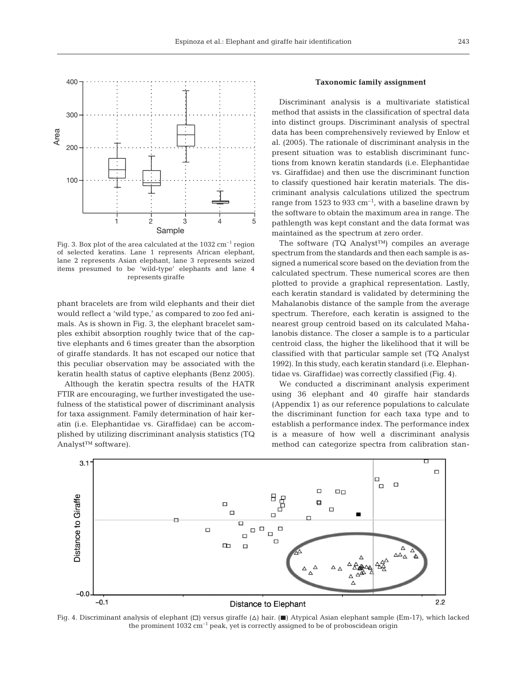

Fig. 3. Box plot of the area calculated at the  $1032 \text{ cm}^{-1}$  region of selected keratins. Lane 1 represents African elephant, lane 2 represents Asian elephant, lane 3 represents seized items presumed to be 'wild-type' elephants and lane 4 represents giraffe

phant bracelets are from wild elephants and their diet would reflect a 'wild type,' as compared to zoo fed animals. As is shown in Fig. 3, the elephant bracelet samples exhibit absorption roughly twice that of the captive elephants and 6 times greater than the absorption of giraffe standards. It has not escaped our notice that this peculiar observation may be associated with the keratin health status of captive elephants (Benz 2005).

Although the keratin spectra results of the HATR FTIR are encouraging, we further investigated the usefulness of the statistical power of discriminant analysis for taxa assignment. Family determination of hair keratin (i.e. Elephantidae vs. Giraffidae) can be accomplished by utilizing discriminant analysis statistics (TQ Analyst™ software).

# **Taxonomic family assignment**

Discriminant analysis is a multivariate statistical method that assists in the classification of spectral data into distinct groups. Discriminant analysis of spectral data has been comprehensively reviewed by Enlow et al. (2005). The rationale of discriminant analysis in the present situation was to establish discriminant functions from known keratin standards (i.e. Elephantidae vs. Giraffidae) and then use the discriminant function to classify questioned hair keratin materials. The discriminant analysis calculations utilized the spectrum range from 1523 to 933  $cm^{-1}$ , with a baseline drawn by the software to obtain the maximum area in range. The pathlength was kept constant and the data format was maintained as the spectrum at zero order.

The software (TQ Analyst™) compiles an average spectrum from the standards and then each sample is assigned a numerical score based on the deviation from the calculated spectrum. These numerical scores are then plotted to provide a graphical representation. Lastly, each keratin standard is validated by determining the Mahalanobis distance of the sample from the average spectrum. Therefore, each keratin is assigned to the nearest group centroid based on its calculated Mahalanobis distance. The closer a sample is to a particular centroid class, the higher the likelihood that it will be classified with that particular sample set (TQ Analyst 1992). In this study, each keratin standard (i.e. Elephantidae vs. Giraffidae) was correctly classified (Fig. 4).

We conducted a discriminant analysis experiment using 36 elephant and 40 giraffe hair standards (Appendix 1) as our reference populations to calculate the discriminant function for each taxa type and to establish a performance index. The performance index is a measure of how well a discriminant analysis method can categorize spectra from calibration stan-



Fig. 4. Discriminant analysis of elephant  $(\Box)$  versus giraffe  $(\Delta)$  hair.  $(\Box)$  Atypical Asian elephant sample (Em-17), which lacked the prominent  $1032 \text{ cm}^{-1}$  peak, yet is correctly assigned to be of proboscidean origin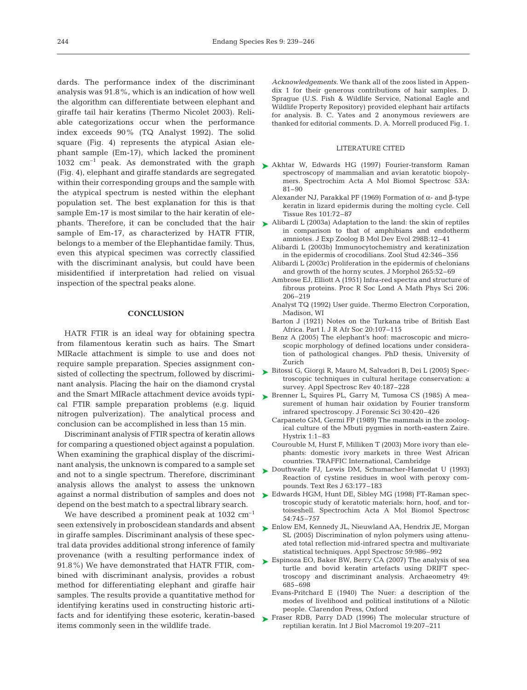dards. The performance index of the discriminant analysis was 91.8%, which is an indication of how well the algorithm can differentiate between elephant and giraffe tail hair keratins (Thermo Nicolet 2003). Reliable categorizations occur when the performance index exceeds 90% (TQ Analyst 1992). The solid square (Fig. 4) represents the atypical Asian elephant sample (Em-17), which lacked the prominent  $1032 \text{ cm}^{-1}$  peak. As demonstrated with the graph (Fig. 4), elephant and giraffe standards are segregated within their corresponding groups and the sample with the atypical spectrum is nested within the elephant population set. The best explanation for this is that sample Em-17 is most similar to the hair keratin of elephants. Therefore, it can be concluded that the hair sample of Em-17, as characterized by HATR FTIR, belongs to a member of the Elephantidae family. Thus, even this atypical specimen was correctly classified with the discriminant analysis, but could have been misidentified if interpretation had relied on visual inspection of the spectral peaks alone.

## **CONCLUSION**

HATR FTIR is an ideal way for obtaining spectra from filamentous keratin such as hairs. The Smart MIRacle attachment is simple to use and does not require sample preparation. Species assignment consisted of collecting the spectrum, followed by discriminant analysis. Placing the hair on the diamond crystal and the Smart MIRacle attachment device avoids typical FTIR sample preparation problems (e.g. liquid nitrogen pulverization). The analytical process and conclusion can be accomplished in less than 15 min.

Discriminant analysis of FTIR spectra of keratin allows for comparing a questioned object against a population. When examining the graphical display of the discriminant analysis, the unknown is compared to a sample set and not to a single spectrum. Therefore, discriminant analysis allows the analyst to assess the unknown against a normal distribution of samples and does not depend on the best match to a spectral library search.

We have described a prominent peak at  $1032 \text{ cm}^{-1}$ seen extensively in proboscidean standards and absent in giraffe samples. Discriminant analysis of these spectral data provides additional strong inference of family provenance (with a resulting performance index of 91.8%) We have demonstrated that HATR FTIR, combined with discriminant analysis, provides a robust method for differentiating elephant and giraffe hair samples. The results provide a quantitative method for identifying keratins used in constructing historic artifacts and for identifying these esoteric, keratin-based items commonly seen in the wildlife trade.

*Acknowledgements.* We thank all of the zoos listed in Appendix 1 for their generous contributions of hair samples. D. Sprague (U.S. Fish & Wildlife Service, National Eagle and Wildlife Property Repository) provided elephant hair artifacts for analysis. B. C. Yates and 2 anonymous reviewers are thanked for editorial comments. D. A. Morrell produced Fig. 1.

## LITERATURE CITED

- ▶ Akhtar W, Edwards HG (1997) Fourier-transform Raman spectroscopy of mammalian and avian keratotic biopolymers. Spectrochim Acta A Mol Biomol Spectrosc 53A: 81–90
	- Alexander NJ, Parakkal PF (1969) Formation of α- and β-type keratin in lizard epidermis during the molting cycle. Cell Tissue Res 101:72–87
- ► Alibardi L (2003a) Adaptation to the land: the skin of reptiles in comparison to that of amphibians and endotherm amniotes. J Exp Zoolog B Mol Dev Evol 298B:12–41
	- Alibardi L (2003b) Immunocytochemistry and keratinization in the epidermis of crocodilians. Zool Stud 42:346–356
	- Alibardi L (2003c) Proliferation in the epidermis of chelonians and growth of the horny scutes. J Morphol 265:52–69
	- Ambrose EJ, Elliott A (1951) Infra-red spectra and structure of fibrous proteins. Proc R Soc Lond A Math Phys Sci 206: 206–219
	- Analyst TQ (1992) User guide. Thermo Electron Corporation, Madison, WI
	- Barton J (1921) Notes on the Turkana tribe of British East Africa. Part I. J R Afr Soc 20:107–115
	- Benz A (2005) The elephant's hoof: macroscopic and microscopic morphology of defined locations under consideration of pathological changes. PhD thesis, University of Zurich
- Bitossi G, Giorgi R, Mauro M, Salvadori B, Dei L (2005) Spec-➤ troscopic techniques in cultural heritage conservation: a survey. Appl Spectrosc Rev 40:187–228
- ► Brenner L, Squires PL, Garry M, Tumosa CS (1985) A measurement of human hair oxidation by Fourier transform infrared spectroscopy. J Forensic Sci 30:420–426
	- Carpaneto GM, Germi FP (1989) The mammals in the zoological culture of the Mbuti pygmies in north-eastern Zaire. Hystrix 1:1–83
	- Courouble M, Hurst F, Milliken T (2003) More ivory than elephants: domestic ivory markets in three West African countries. TRAFFIC International, Cambridge
- ▶ Douthwaite FJ, Lewis DM, Schumacher-Hamedat U (1993) Reaction of cystine residues in wool with peroxy compounds. Text Res J 63:177–183
- ► Edwards HGM, Hunt DE, Sibley MG (1998) FT-Raman spectroscopic study of keratotic materials: horn, hoof, and tortoiseshell. Spectrochim Acta A Mol Biomol Spectrosc 54:745–757
- ► Enlow EM, Kennedy JL, Nieuwland AA, Hendrix JE, Morgan SL (2005) Discrimination of nylon polymers using attenuated total reflection mid-infrared spectra and multivariate statistical techniques. Appl Spectrosc 59:986–992
- ► Espinoza EO, Baker BW, Berry CA (2007) The analysis of sea turtle and bovid keratin artefacts using DRIFT spectroscopy and discriminant analysis. Archaeometry 49: 685–698
	- Evans-Pritchard E (1940) The Nuer: a description of the modes of livelihood and political institutions of a Nilotic people. Clarendon Press, Oxford
- ▶ Fraser RDB, Parry DAD (1996) The molecular structure of reptilian keratin. Int J Biol Macromol 19:207–211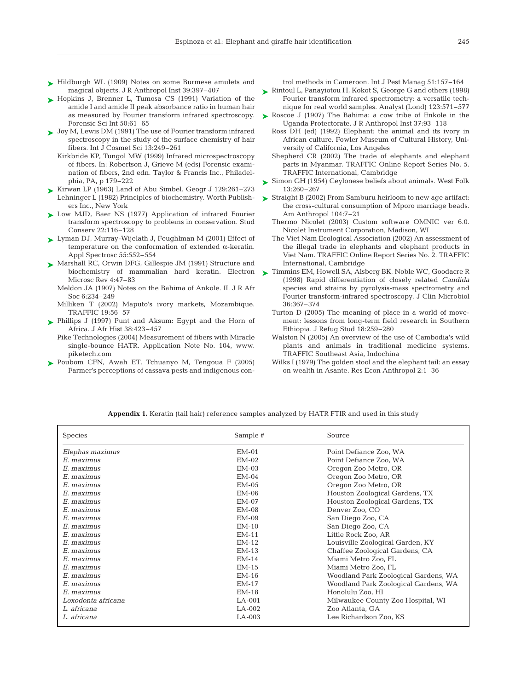- ► Hildburgh WL (1909) Notes on some Burmese amulets and magical objects. J R Anthropol Inst 39:397–407
- ► Hopkins J, Brenner L, Tumosa CS (1991) Variation of the amide I and amide II peak absorbance ratio in human hair as measured by Fourier transform infrared spectroscopy. Forensic Sci Int 50:61–65
- Joy M, Lewis DM (1991) The use of Fourier transform infrared ➤ spectroscopy in the study of the surface chemistry of hair fibers. Int J Cosmet Sci 13:249–261
	- Kirkbride KP, Tungol MW (1999) Infrared microspectroscopy of fibers. In: Robertson J, Grieve M (eds) Forensic examination of fibers, 2nd edn. Taylor & Francis Inc., Philadelphia, PA, p 179–222
- ► Kirwan LP (1963) Land of Abu Simbel. Geogr J 129:261–273 Lehninger L (1982) Principles of biochemistry. Worth Publishers Inc., New York
- ► Low MJD, Baer NS (1977) Application of infrared Fourier transform spectroscopy to problems in conservation. Stud Conserv 22:116–128
- ► Lyman DJ, Murray-Wijelath J, Feughlman M (2001) Effect of temperature on the conformation of extended α-keratin. Appl Spectrosc 55:552–554
- ► Marshall RC, Orwin DFG, Gillespie JM (1991) Structure and biochemistry of mammalian hard keratin. Electron Microsc Rev 4:47–83
	- Meldon JA (1907) Notes on the Bahima of Ankole. II. J R Afr Soc 6:234–249
	- Milliken T (2002) Maputo's ivory markets, Mozambique. TRAFFIC 19:56–57
- ▶ Phillips J (1997) Punt and Aksum: Egypt and the Horn of Africa. J Afr Hist 38:423–457
	- Pike Technologies (2004) Measurement of fibers with Miracle single-bounce HATR. Application Note No. 104, www. piketech.com
- ► Poubom CFN, Awah ET, Tchuanyo M, Tengoua F (2005) Farmer's perceptions of cassava pests and indigenous con-

trol methods in Cameroon. Int J Pest Manag 51:157–164

- ► Rintoul L, Panayiotou H, Kokot S, George G and others (1998) Fourier transform infrared spectrometry: a versatile technique for real world samples. Analyst (Lond) 123:571–577
- ► Roscoe J (1907) The Bahima: a cow tribe of Enkole in the Uganda Protectorate. J R Anthropol Inst 37:93–118
	- Ross DH (ed) (1992) Elephant: the animal and its ivory in African culture. Fowler Museum of Cultural History, University of California, Los Angeles
	- Shepherd CR (2002) The trade of elephants and elephant parts in Myanmar. TRAFFIC Online Report Series No. 5. TRAFFIC International, Cambridge
- ► Simon GH (1954) Ceylonese beliefs about animals. West Folk 13:260–267
- Straight B (2002) From Samburu heirloom to new age artifact: ➤ the cross-cultural consumption of Mporo marriage beads. Am Anthropol 104:7–21
	- Thermo Nicolet (2003) Custom software OMNIC ver 6.0. Nicolet Instrument Corporation, Madison, WI
	- The Viet Nam Ecological Association (2002) An assessment of the illegal trade in elephants and elephant products in Viet Nam. TRAFFIC Online Report Series No. 2. TRAFFIC International, Cambridge
- ► Timmins EM, Howell SA, Alsberg BK, Noble WC, Goodacre R (1998) Rapid differentiation of closely related *Candida* species and strains by pyrolysis-mass spectrometry and Fourier transform-infrared spectroscopy. J Clin Microbiol 36:367–374
	- Turton D (2005) The meaning of place in a world of movement: lessons from long-term field research in Southern Ethiopia. J Refug Stud 18:259–280
	- Walston N (2005) An overview of the use of Cambodia's wild plants and animals in traditional medicine systems. TRAFFIC Southeast Asia, Indochina
	- Wilks I (1979) The golden stool and the elephant tail: an essay on wealth in Asante. Res Econ Anthropol 2:1–36

Species Sample # Source *Elephas maximus* EM-01 Point Defiance Zoo, WA *E. maximus* EM-02 Point Defiance Zoo, WA *E. maximus* EM-03 Oregon Zoo Metro, OR *E. maximus* EM-04 Oregon Zoo Metro, OR *E. maximus* EM-05 Oregon Zoo Metro, OR *E. maximus* EM-06 Houston Zoological Gardens, TX *E. maximus* EM-07 Houston Zoological Gardens, TX *E. maximus* **EM-08** Denver Zoo, CO<br> *E. maximus* BM-09 Denver Zoo, CO **San Diego Zoo, CA** *E. maximus* EM-10 San Diego Zoo, CA *Eittle Rock Zoo, AR E. maximus* EM-12 Louisville Zoological Garden, KY *E. maximus* EM-13 Chaffee Zoological Gardens, CA *E. maximus* EM-14 Miami Metro Zoo, FL *E. maximus* EM-15 Miami Metro Zoo, FL *E. maximus* EM-16 Woodland Park Zoological Gardens, WA *E. maximus* EM-17 Woodland Park Zoological Gardens, WA *E. maximus* EM-18 Honolulu Zoo, HI *Loxodonta africana* LA-001 Milwaukee County Zoo Hospital, WI *L. africana* LA-002 Zoo Atlanta, GA *L. africana* LA-003 Lee Richardson Zoo, KS

**Appendix 1.** Keratin (tail hair) reference samples analyzed by HATR FTIR and used in this study